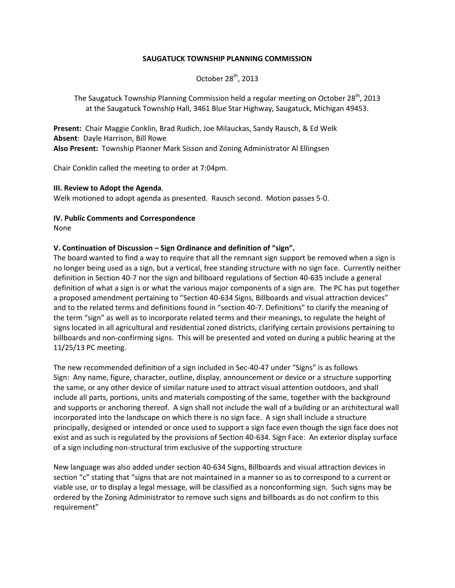### **SAUGATUCK TOWNSHIP PLANNING COMMISSION**

October  $28<sup>th</sup>$ , 2013

The Saugatuck Township Planning Commission held a regular meeting on October  $28^{th}$ , 2013 at the Saugatuck Township Hall, 3461 Blue Star Highway, Saugatuck, Michigan 49453.

**Present:** Chair Maggie Conklin, Brad Rudich, Joe Milauckas, Sandy Rausch, & Ed Welk **Absent**: Dayle Harrison, Bill Rowe **Also Present:** Township Planner Mark Sisson and Zoning Administrator Al Ellingsen

Chair Conklin called the meeting to order at 7:04pm.

#### **III. Review to Adopt the Agenda**.

Welk motioned to adopt agenda as presented. Rausch second. Motion passes 5-0.

### **IV. Public Comments and Correspondence**

None

### **V. Continuation of Discussion – Sign Ordinance and definition of "sign".**

The board wanted to find a way to require that all the remnant sign support be removed when a sign is no longer being used as a sign, but a vertical, free standing structure with no sign face. Currently neither definition in Section 40-7 nor the sign and billboard regulations of Section 40-635 include a general definition of what a sign is or what the various major components of a sign are. The PC has put together a proposed amendment pertaining to "Section 40-634 Signs, Billboards and visual attraction devices" and to the related terms and definitions found in "section 40-7. Definitions" to clarify the meaning of the term "sign" as well as to incorporate related terms and their meanings, to regulate the height of signs located in all agricultural and residential zoned districts, clarifying certain provisions pertaining to billboards and non-confirming signs. This will be presented and voted on during a public hearing at the 11/25/13 PC meeting.

The new recommended definition of a sign included in Sec-40-47 under "Signs" is as follows Sign: Any name, figure, character, outline, display, announcement or device or a structure supporting the same, or any other device of similar nature used to attract visual attention outdoors, and shall include all parts, portions, units and materials composting of the same, together with the background and supports or anchoring thereof. A sign shall not include the wall of a building or an architectural wall incorporated into the landscape on which there is no sign face. A sign shall include a structure principally, designed or intended or once used to support a sign face even though the sign face does not exist and as such is regulated by the provisions of Section 40-634. Sign Face: An exterior display surface of a sign including non-structural trim exclusive of the supporting structure

New language was also added under section 40-634 Signs, Billboards and visual attraction devices in section "c" stating that "signs that are not maintained in a manner so as to correspond to a current or viable use, or to display a legal message, will be classified as a nonconforming sign. Such signs may be ordered by the Zoning Administrator to remove such signs and billboards as do not confirm to this requirement"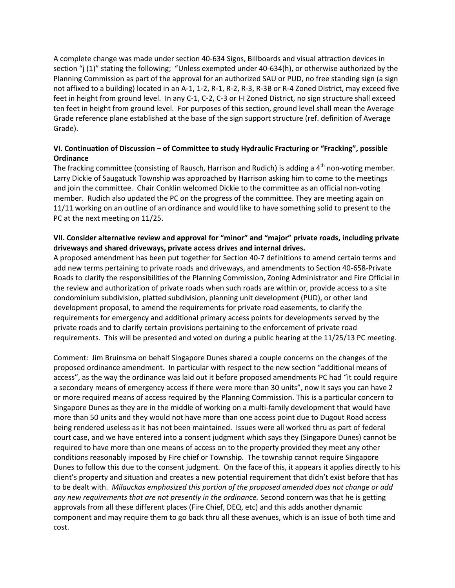A complete change was made under section 40-634 Signs, Billboards and visual attraction devices in section "j (1)" stating the following; "Unless exempted under 40-634(h), or otherwise authorized by the Planning Commission as part of the approval for an authorized SAU or PUD, no free standing sign (a sign not affixed to a building) located in an A-1, 1-2, R-1, R-2, R-3, R-3B or R-4 Zoned District, may exceed five feet in height from ground level. In any C-1, C-2, C-3 or I-I Zoned District, no sign structure shall exceed ten feet in height from ground level. For purposes of this section, ground level shall mean the Average Grade reference plane established at the base of the sign support structure (ref. definition of Average Grade).

# **VI. Continuation of Discussion – of Committee to study Hydraulic Fracturing or "Fracking", possible Ordinance**

The fracking committee (consisting of Rausch, Harrison and Rudich) is adding a 4<sup>th</sup> non-voting member. Larry Dickie of Saugatuck Township was approached by Harrison asking him to come to the meetings and join the committee. Chair Conklin welcomed Dickie to the committee as an official non-voting member. Rudich also updated the PC on the progress of the committee. They are meeting again on 11/11 working on an outline of an ordinance and would like to have something solid to present to the PC at the next meeting on 11/25.

### **VII. Consider alternative review and approval for "minor" and "major" private roads, including private driveways and shared driveways, private access drives and internal drives.**

A proposed amendment has been put together for Section 40-7 definitions to amend certain terms and add new terms pertaining to private roads and driveways, and amendments to Section 40-658-Private Roads to clarify the responsibilities of the Planning Commission, Zoning Administrator and Fire Official in the review and authorization of private roads when such roads are within or, provide access to a site condominium subdivision, platted subdivision, planning unit development (PUD), or other land development proposal, to amend the requirements for private road easements, to clarify the requirements for emergency and additional primary access points for developments served by the private roads and to clarify certain provisions pertaining to the enforcement of private road requirements. This will be presented and voted on during a public hearing at the 11/25/13 PC meeting.

Comment: Jim Bruinsma on behalf Singapore Dunes shared a couple concerns on the changes of the proposed ordinance amendment. In particular with respect to the new section "additional means of access", as the way the ordinance was laid out it before proposed amendments PC had "it could require a secondary means of emergency access if there were more than 30 units", now it says you can have 2 or more required means of access required by the Planning Commission. This is a particular concern to Singapore Dunes as they are in the middle of working on a multi-family development that would have more than 50 units and they would not have more than one access point due to Dugout Road access being rendered useless as it has not been maintained. Issues were all worked thru as part of federal court case, and we have entered into a consent judgment which says they (Singapore Dunes) cannot be required to have more than one means of access on to the property provided they meet any other conditions reasonably imposed by Fire chief or Township. The township cannot require Singapore Dunes to follow this due to the consent judgment. On the face of this, it appears it applies directly to his client's property and situation and creates a new potential requirement that didn't exist before that has to be dealt with. *Milauckas emphasized this portion of the proposed amended does not change or add any new requirements that are not presently in the ordinance.* Second concern was that he is getting approvals from all these different places (Fire Chief, DEQ, etc) and this adds another dynamic component and may require them to go back thru all these avenues, which is an issue of both time and cost.